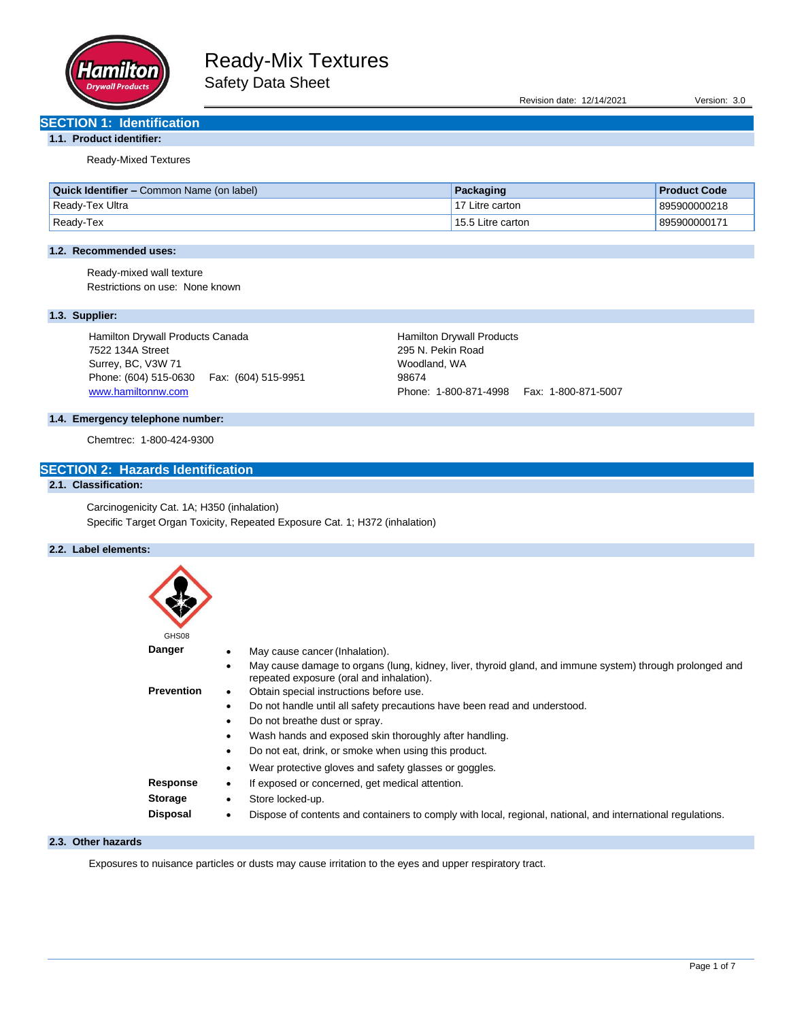

Revision date: 12/14/2021 Version: 3.0

# **SECTION 1: Identification**

**1.1. Product identifier:**

Ready-Mixed Textures

| <b>Quick Identifier –</b> Common Name (on label) | Packaging         | <b>Product Code</b> |
|--------------------------------------------------|-------------------|---------------------|
| Ready-Tex Ultra                                  | 17 Litre carton   | 895900000218        |
| Ready-Tex                                        | 15.5 Litre carton | 895900000171        |

## **1.2. Recommended uses:**

Ready-mixed wall texture Restrictions on use: None known

## **1.3. Supplier:**

Hamilton Drywall Products Canada 7522 134A Street Surrey, BC, V3W 71 Phone: (604) 515-0630 Fax: (604) 515-9951 [www.hamiltonnw.com](http://www.hamiltonnw.com/)

Hamilton Drywall Products 295 N. Pekin Road Woodland, WA 98674 Phone: 1-800-871-4998 Fax: 1-800-871-5007

## **1.4. Emergency telephone number:**

Chemtrec: 1-800-424-9300

# **SECTION 2: Hazards Identification**

# **2.1. Classification:**

Carcinogenicity Cat. 1A; H350 (inhalation) Specific Target Organ Toxicity, Repeated Exposure Cat. 1; H372 (inhalation)

## **2.2. Label elements:**

| GHS08             |           |                                                                                                                                                      |
|-------------------|-----------|------------------------------------------------------------------------------------------------------------------------------------------------------|
| <b>Danger</b>     |           | May cause cancer (Inhalation).                                                                                                                       |
|                   | ٠         | May cause damage to organs (lung, kidney, liver, thyroid gland, and immune system) through prolonged and<br>repeated exposure (oral and inhalation). |
| <b>Prevention</b> | ٠         | Obtain special instructions before use.                                                                                                              |
|                   | ٠         | Do not handle until all safety precautions have been read and understood.                                                                            |
|                   | $\bullet$ | Do not breathe dust or spray.                                                                                                                        |
|                   | ٠         | Wash hands and exposed skin thoroughly after handling.                                                                                               |
|                   | ٠         | Do not eat, drink, or smoke when using this product.                                                                                                 |
|                   | ٠         | Wear protective gloves and safety glasses or goggles.                                                                                                |
| <b>Response</b>   | ٠         | If exposed or concerned, get medical attention.                                                                                                      |
| <b>Storage</b>    | ٠         | Store locked-up.                                                                                                                                     |
| <b>Disposal</b>   | ٠         | Dispose of contents and containers to comply with local, regional, national, and international regulations.                                          |

#### **2.3. Other hazards**

Exposures to nuisance particles or dusts may cause irritation to the eyes and upper respiratory tract.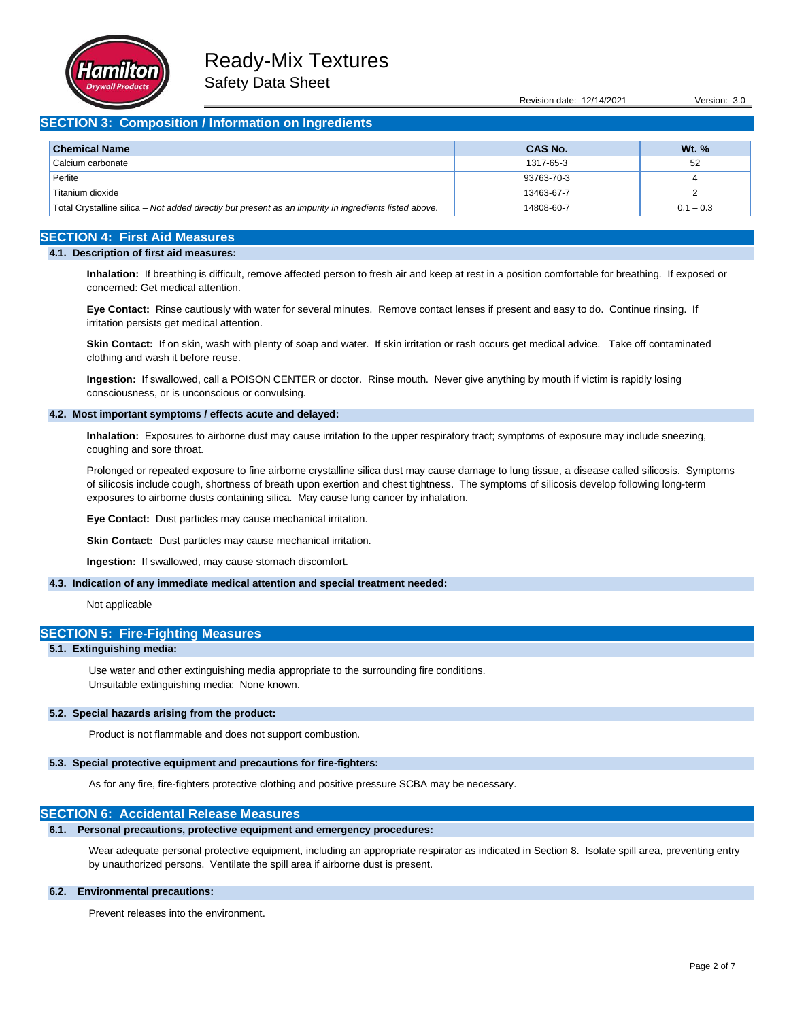

Revision date: 12/14/2021 Version: 3.0

## **SECTION 3: Composition / Information on Ingredients**

| <b>Chemical Name</b>                                                                                  | <b>CAS No.</b> | <u>Wt. %</u> |
|-------------------------------------------------------------------------------------------------------|----------------|--------------|
| Calcium carbonate                                                                                     | 1317-65-3      | 52           |
| Perlite                                                                                               | 93763-70-3     |              |
| Titanium dioxide                                                                                      | 13463-67-7     |              |
| Total Crystalline silica – Not added directly but present as an impurity in ingredients listed above. | 14808-60-7     | $0.1 - 0.3$  |

# **SECTION 4: First Aid Measures**

#### **4.1. Description of first aid measures:**

**Inhalation:** If breathing is difficult, remove affected person to fresh air and keep at rest in a position comfortable for breathing. If exposed or concerned: Get medical attention.

**Eye Contact:** Rinse cautiously with water for several minutes. Remove contact lenses if present and easy to do. Continue rinsing. If irritation persists get medical attention.

**Skin Contact:** If on skin, wash with plenty of soap and water. If skin irritation or rash occurs get medical advice. Take off contaminated clothing and wash it before reuse.

**Ingestion:** If swallowed, call a POISON CENTER or doctor. Rinse mouth. Never give anything by mouth if victim is rapidly losing consciousness, or is unconscious or convulsing.

#### **4.2. Most important symptoms / effects acute and delayed:**

**Inhalation:** Exposures to airborne dust may cause irritation to the upper respiratory tract; symptoms of exposure may include sneezing, coughing and sore throat.

Prolonged or repeated exposure to fine airborne crystalline silica dust may cause damage to lung tissue, a disease called silicosis. Symptoms of silicosis include cough, shortness of breath upon exertion and chest tightness. The symptoms of silicosis develop following long-term exposures to airborne dusts containing silica. May cause lung cancer by inhalation.

**Eye Contact:** Dust particles may cause mechanical irritation.

**Skin Contact:** Dust particles may cause mechanical irritation.

**Ingestion:** If swallowed, may cause stomach discomfort.

#### **4.3. Indication of any immediate medical attention and special treatment needed:**

Not applicable

## **SECTION 5: Fire-Fighting Measures**

#### **5.1. Extinguishing media:**

Use water and other extinguishing media appropriate to the surrounding fire conditions. Unsuitable extinguishing media: None known.

#### **5.2. Special hazards arising from the product:**

Product is not flammable and does not support combustion.

## **5.3. Special protective equipment and precautions for fire-fighters:**

As for any fire, fire-fighters protective clothing and positive pressure SCBA may be necessary.

## **SECTION 6: Accidental Release Measures**

#### **6.1. Personal precautions, protective equipment and emergency procedures:**

Wear adequate personal protective equipment, including an appropriate respirator as indicated in Section 8. Isolate spill area, preventing entry by unauthorized persons. Ventilate the spill area if airborne dust is present.

## **6.2. Environmental precautions:**

Prevent releases into the environment.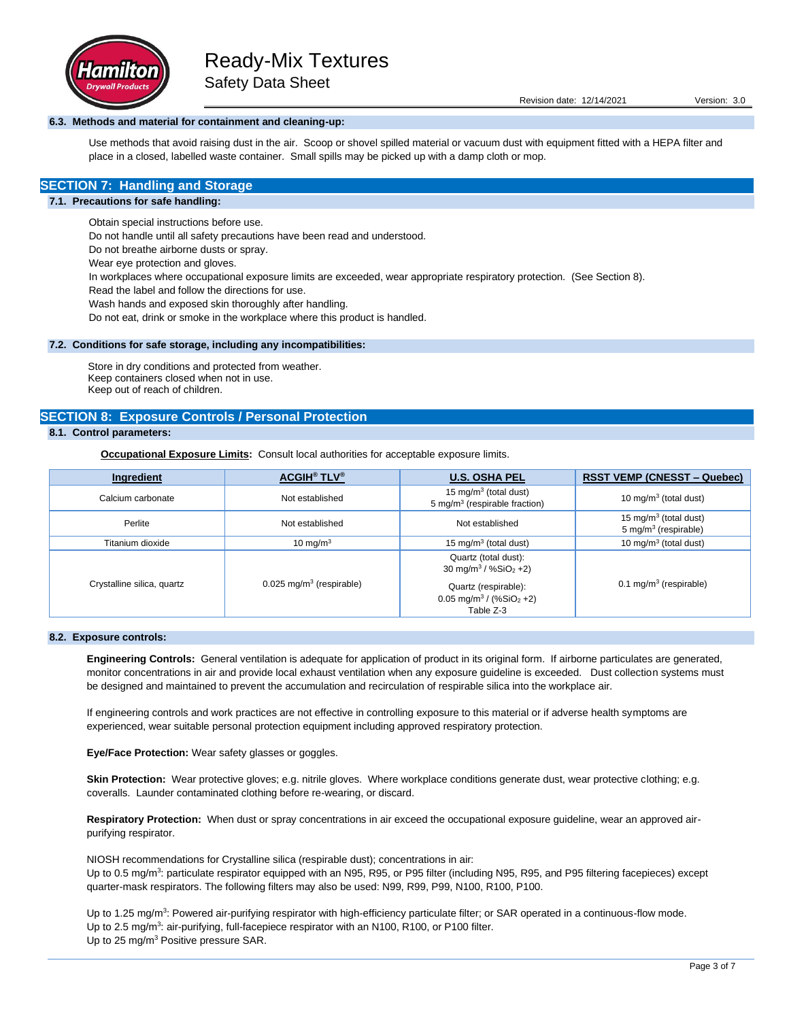

## **6.3. Methods and material for containment and cleaning-up:**

Use methods that avoid raising dust in the air. Scoop or shovel spilled material or vacuum dust with equipment fitted with a HEPA filter and place in a closed, labelled waste container. Small spills may be picked up with a damp cloth or mop.

# **SECTION 7: Handling and Storage**

#### **7.1. Precautions for safe handling:**

Obtain special instructions before use.

Do not handle until all safety precautions have been read and understood.

Do not breathe airborne dusts or spray.

Wear eye protection and gloves.

In workplaces where occupational exposure limits are exceeded, wear appropriate respiratory protection. (See Section 8).

Read the label and follow the directions for use.

Wash hands and exposed skin thoroughly after handling.

Do not eat, drink or smoke in the workplace where this product is handled.

#### **7.2. Conditions for safe storage, including any incompatibilities:**

Store in dry conditions and protected from weather. Keep containers closed when not in use. Keep out of reach of children.

### **SECTION 8: Exposure Controls / Personal Protection**

# **8.1. Control parameters:**

**Occupational Exposure Limits:** Consult local authorities for acceptable exposure limits.

| Ingredient                 | <b>ACGIH<sup>®</sup> TLV<sup>®</sup></b> | <b>U.S. OSHA PEL</b>                                                                         | <b>RSST VEMP (CNESST – Quebec)</b>                                    |
|----------------------------|------------------------------------------|----------------------------------------------------------------------------------------------|-----------------------------------------------------------------------|
| Calcium carbonate          | Not established                          | 15 mg/m <sup>3</sup> (total dust)<br>5 mg/m <sup>3</sup> (respirable fraction)               | 10 mg/m <sup>3</sup> (total dust)                                     |
| Perlite                    | Not established                          | Not established                                                                              | 15 mg/m <sup>3</sup> (total dust)<br>5 mg/m <sup>3</sup> (respirable) |
| Titanium dioxide           | 10 mg/m $3$                              | 15 mg/m <sup>3</sup> (total dust)                                                            | 10 mg/m $3$ (total dust)                                              |
| Crystalline silica, quartz | $0.025$ mg/m <sup>3</sup> (respirable)   | Quartz (total dust):<br>30 mg/m <sup>3</sup> / %SiO <sub>2</sub> +2)<br>Quartz (respirable): | 0.1 mg/m <sup>3</sup> (respirable)                                    |
|                            |                                          | 0.05 mg/m <sup>3</sup> / $(\%SiO2 +2)$<br>Table Z-3                                          |                                                                       |

#### **8.2. Exposure controls:**

**Engineering Controls:** General ventilation is adequate for application of product in its original form. If airborne particulates are generated, monitor concentrations in air and provide local exhaust ventilation when any exposure guideline is exceeded. Dust collection systems must be designed and maintained to prevent the accumulation and recirculation of respirable silica into the workplace air.

If engineering controls and work practices are not effective in controlling exposure to this material or if adverse health symptoms are experienced, wear suitable personal protection equipment including approved respiratory protection.

**Eye/Face Protection:** Wear safety glasses or goggles.

Skin Protection: Wear protective gloves; e.g. nitrile gloves. Where workplace conditions generate dust, wear protective clothing; e.g. coveralls. Launder contaminated clothing before re-wearing, or discard.

**Respiratory Protection:** When dust or spray concentrations in air exceed the occupational exposure guideline, wear an approved airpurifying respirator.

NIOSH recommendations for Crystalline silica (respirable dust); concentrations in air: Up to 0.5 mg/m<sup>3</sup>: particulate respirator equipped with an N95, R95, or P95 filter (including N95, R95, and P95 filtering facepieces) except quarter-mask respirators. The following filters may also be used: N99, R99, P99, N100, R100, P100.

Up to 1.25 mg/m<sup>3</sup>: Powered air-purifying respirator with high-efficiency particulate filter; or SAR operated in a continuous-flow mode. Up to 2.5 mg/m<sup>3</sup>: air-purifying, full-facepiece respirator with an N100, R100, or P100 filter. Up to 25 mg/m<sup>3</sup> Positive pressure SAR.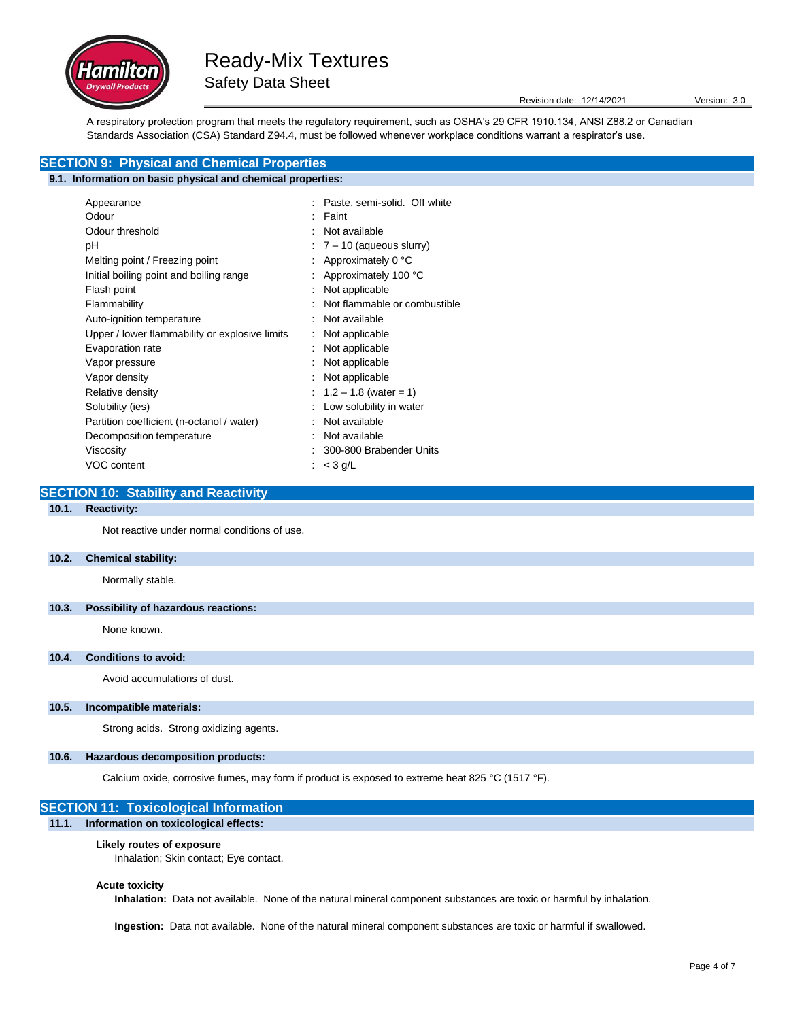

Revision date: 12/14/2021 Version: 3.0

A respiratory protection program that meets the regulatory requirement, such as OSHA's 29 CFR 1910.134, ANSI Z88.2 or Canadian Standards Association (CSA) Standard Z94.4, must be followed whenever workplace conditions warrant a respirator's use.

# **SECTION 9: Physical and Chemical Properties**

# **9.1. Information on basic physical and chemical properties:**

| Appearance                                     | Paste, semi-solid. Off white     |
|------------------------------------------------|----------------------------------|
| Odour                                          | Faint                            |
| Odour threshold                                | Not available                    |
| рH                                             | $\div$ 7 – 10 (aqueous slurry)   |
| Melting point / Freezing point                 | Approximately 0 °C               |
| Initial boiling point and boiling range        | : Approximately 100 $^{\circ}$ C |
| Flash point                                    | Not applicable                   |
| Flammability                                   | Not flammable or combustible     |
| Auto-ignition temperature                      | Not available                    |
| Upper / lower flammability or explosive limits | Not applicable                   |
| Evaporation rate                               | Not applicable                   |
| Vapor pressure                                 | Not applicable                   |
| Vapor density                                  | Not applicable                   |
| Relative density                               | : $1.2 - 1.8$ (water = 1)        |
| Solubility (ies)                               | Low solubility in water          |
| Partition coefficient (n-octanol / water)      | Not available                    |
| Decomposition temperature                      | Not available                    |
| Viscosity                                      | 300-800 Brabender Units          |
| VOC content                                    | : $<$ 3 g/L                      |

# **SECTION 10: Stability and Reactivity**

## **10.1. Reactivity:**

Not reactive under normal conditions of use.

#### **10.2. Chemical stability:**

Normally stable.

#### **10.3. Possibility of hazardous reactions:**

None known.

# **10.4. Conditions to avoid:**

Avoid accumulations of dust.

#### **10.5. Incompatible materials:**

Strong acids. Strong oxidizing agents.

### **10.6. Hazardous decomposition products:**

Calcium oxide, corrosive fumes, may form if product is exposed to extreme heat 825 °C (1517 °F).

# **SECTION 11: Toxicological Information 11.1. Information on toxicological effects:**

#### **Likely routes of exposure**

Inhalation; Skin contact; Eye contact.

#### **Acute toxicity**

**Inhalation:** Data not available. None of the natural mineral component substances are toxic or harmful by inhalation.

**Ingestion:** Data not available. None of the natural mineral component substances are toxic or harmful if swallowed.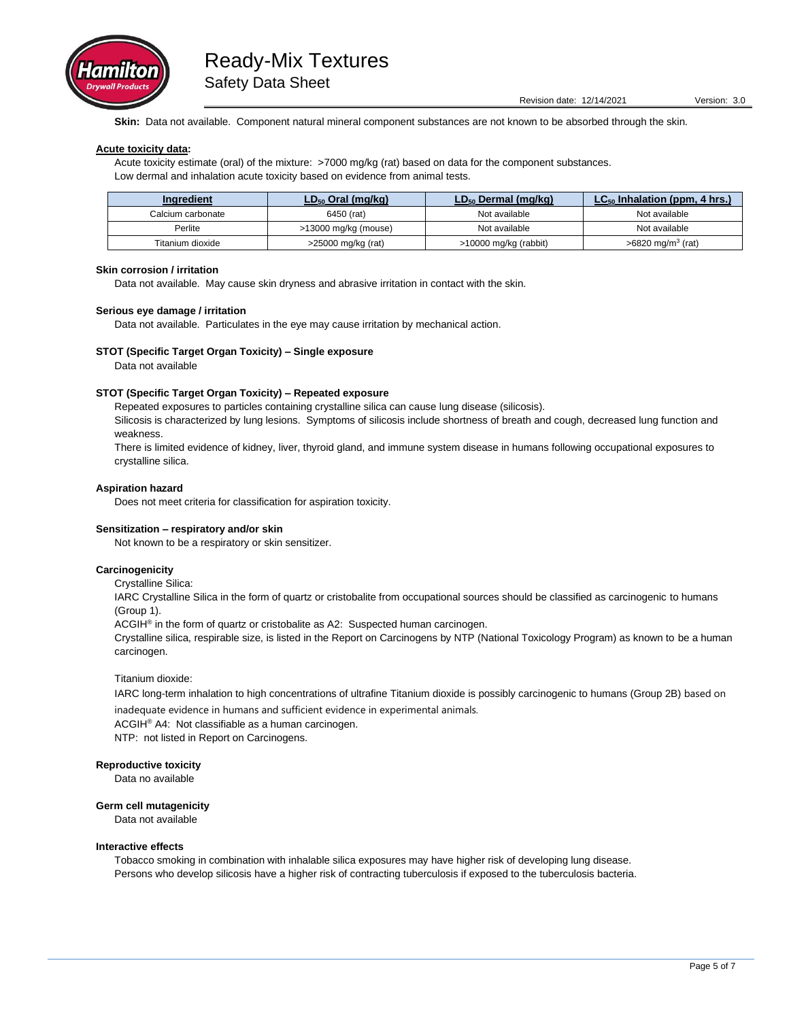

**Skin:** Data not available. Component natural mineral component substances are not known to be absorbed through the skin.

#### **Acute toxicity data:**

Acute toxicity estimate (oral) of the mixture: >7000 mg/kg (rat) based on data for the component substances. Low dermal and inhalation acute toxicity based on evidence from animal tests.

| Ingredient        | $LD_{50}$ Oral (mg/kg) | $LD_{50}$ Dermal (mg/kg) | $LC_{50}$ Inhalation (ppm, 4 hrs.) |
|-------------------|------------------------|--------------------------|------------------------------------|
| Calcium carbonate | 6450 (rat)             | Not available            | Not available                      |
| Perlite           | >13000 mg/kg (mouse)   | Not available            | Not available                      |
| Titanium dioxide  | >25000 mg/kg (rat)     | >10000 mg/kg (rabbit)    | $>6820 \text{ mg/m}^3$ (rat)       |

## **Skin corrosion / irritation**

Data not available. May cause skin dryness and abrasive irritation in contact with the skin.

#### **Serious eye damage / irritation**

Data not available. Particulates in the eye may cause irritation by mechanical action.

#### **STOT (Specific Target Organ Toxicity) – Single exposure**

Data not available

#### **STOT (Specific Target Organ Toxicity) – Repeated exposure**

Repeated exposures to particles containing crystalline silica can cause lung disease (silicosis).

Silicosis is characterized by lung lesions. Symptoms of silicosis include shortness of breath and cough, decreased lung function and weakness.

There is limited evidence of kidney, liver, thyroid gland, and immune system disease in humans following occupational exposures to crystalline silica.

#### **Aspiration hazard**

Does not meet criteria for classification for aspiration toxicity.

#### **Sensitization – respiratory and/or skin**

Not known to be a respiratory or skin sensitizer.

### **Carcinogenicity**

Crystalline Silica:

IARC Crystalline Silica in the form of quartz or cristobalite from occupational sources should be classified as carcinogenic to humans (Group 1).

ACGIH<sup>®</sup> in the form of quartz or cristobalite as A2: Suspected human carcinogen.

Crystalline silica, respirable size, is listed in the Report on Carcinogens by NTP (National Toxicology Program) as known to be a human carcinogen.

#### Titanium dioxide:

IARC long-term inhalation to high concentrations of ultrafine Titanium dioxide is possibly carcinogenic to humans (Group 2B) based on

inadequate evidence in humans and sufficient evidence in experimental animals. ACGIH® A4: Not classifiable as a human carcinogen. NTP: not listed in Report on Carcinogens.

#### **Reproductive toxicity**

Data no available

**Germ cell mutagenicity**

Data not available

#### **Interactive effects**

Tobacco smoking in combination with inhalable silica exposures may have higher risk of developing lung disease. Persons who develop silicosis have a higher risk of contracting tuberculosis if exposed to the tuberculosis bacteria.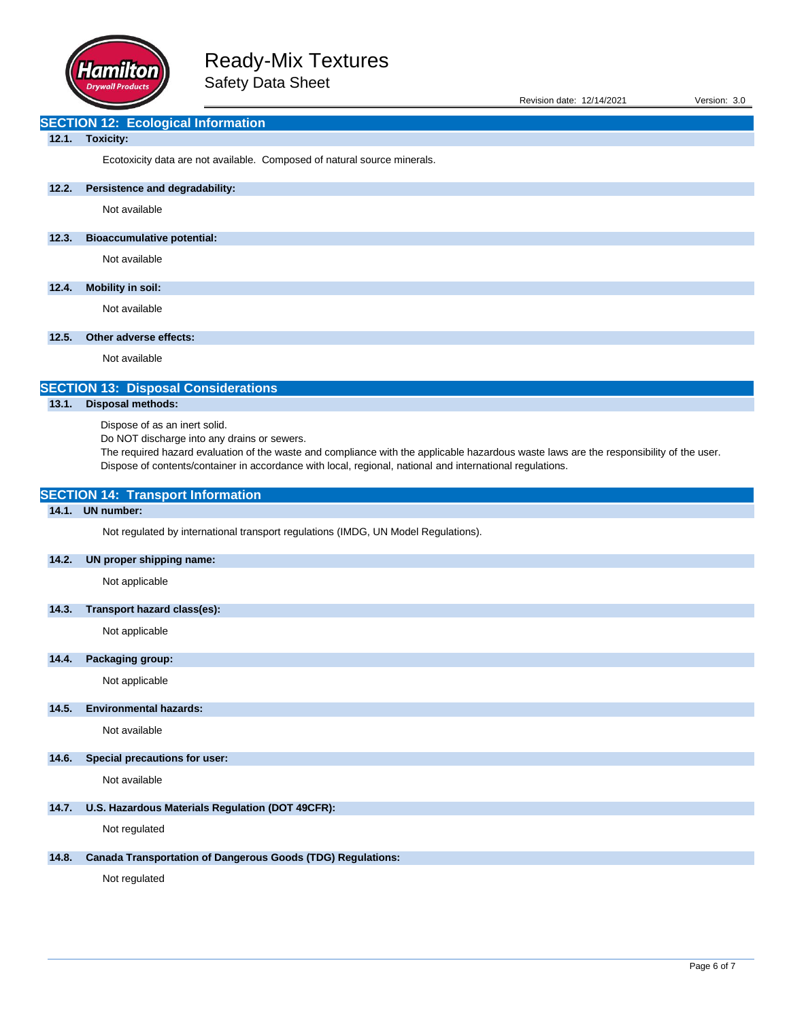

| Revision date: 12/14/2021 | Version: 3.0 |  |
|---------------------------|--------------|--|
|                           |              |  |

# **SECTION 12: Ecological Information**

# **12.1. Toxicity:**

Ecotoxicity data are not available. Composed of natural source minerals.

# **12.2. Persistence and degradability:**

Not available

# **12.3. Bioaccumulative potential:**

Not available

# **12.4. Mobility in soil:**

Not available

# **12.5. Other adverse effects:**

Not available

# **SECTION 13: Disposal Considerations**

# **13.1. Disposal methods:**

Dispose of as an inert solid.

**SECTION 14: Transport Information**

Do NOT discharge into any drains or sewers.

The required hazard evaluation of the waste and compliance with the applicable hazardous waste laws are the responsibility of the user. Dispose of contents/container in accordance with local, regional, national and international regulations.

| 14.1. | <b>UN number:</b>                                                                  |
|-------|------------------------------------------------------------------------------------|
|       | Not regulated by international transport regulations (IMDG, UN Model Regulations). |
| 14.2. | UN proper shipping name:                                                           |
|       | Not applicable                                                                     |
| 14.3. | Transport hazard class(es):                                                        |
|       | Not applicable                                                                     |
| 14.4. | Packaging group:                                                                   |
|       | Not applicable                                                                     |
| 14.5. | <b>Environmental hazards:</b>                                                      |
|       | Not available                                                                      |
| 14.6. | Special precautions for user:                                                      |
|       | Not available                                                                      |
| 14.7. | U.S. Hazardous Materials Regulation (DOT 49CFR):                                   |
|       | Not regulated                                                                      |
| 14.8. | <b>Canada Transportation of Dangerous Goods (TDG) Regulations:</b>                 |
|       | Not regulated                                                                      |
|       |                                                                                    |
|       |                                                                                    |
|       |                                                                                    |